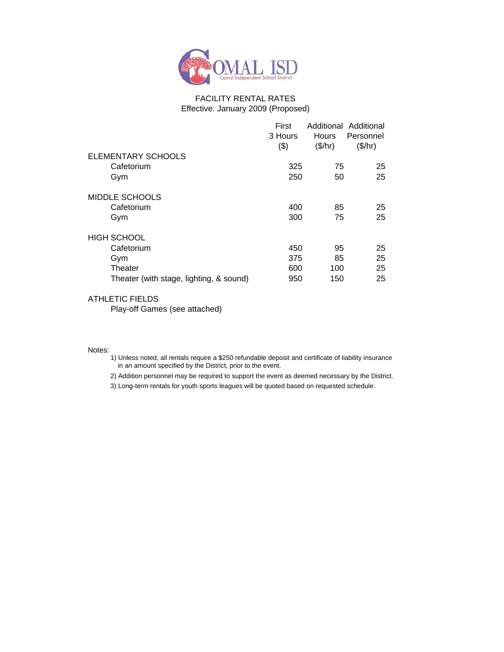

#### FACILITY RENTAL RATES Effective: January 2009 (Proposed)

|                                         | First<br>3 Hours<br>(3) | Additional Additional<br><b>Hours</b><br>(\$/hr) | Personnel<br>(\$/hr) |
|-----------------------------------------|-------------------------|--------------------------------------------------|----------------------|
| ELEMENTARY SCHOOLS                      |                         |                                                  |                      |
| Cafetorium                              | 325                     | 75                                               | 25                   |
| Gym                                     | 250                     | 50                                               | 25                   |
| MIDDLE SCHOOLS                          |                         |                                                  |                      |
| Cafetorium                              | 400                     | 85                                               | 25                   |
| Gym                                     | 300                     | 75                                               | 25                   |
| <b>HIGH SCHOOL</b>                      |                         |                                                  |                      |
| Cafetorium                              | 450                     | 95                                               | 25                   |
| Gym                                     | 375                     | 85                                               | 25                   |
| Theater                                 | 600                     | 100                                              | 25                   |
| Theater (with stage, lighting, & sound) | 950                     | 150                                              | 25                   |

#### ATHLETIC FIELDS

Play-off Games (see attached)

#### Notes:

- 1) Unless noted, all rentals require a \$250 refundable deposit and certificate of liability insurance in an amount specified by the District, prior to the event.
- 2) Addition personnel may be required to support the event as deemed necessary by the District.

3) Long-term rentals for youth sports leagues will be quoted based on requested schedule.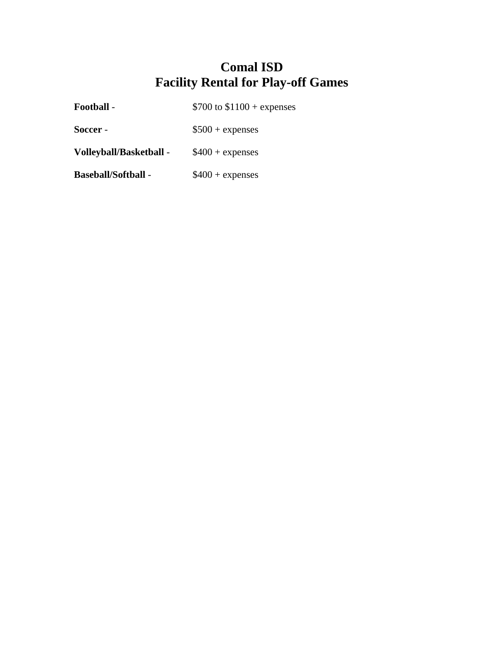| <b>Football -</b> | \$700 to $$1100 +$ expenses |
|-------------------|-----------------------------|
|                   |                             |

**Soccer** - \$500 + expenses

**Volleyball/Basketball** - \$400 + expenses

**Baseball/Softball** - \$400 + expenses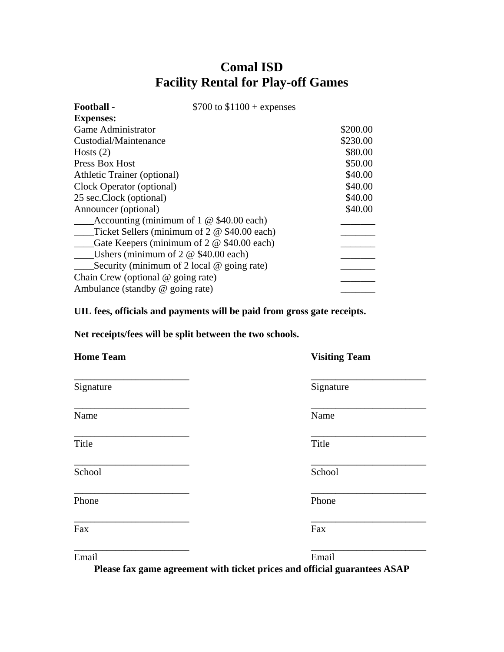| Football -                                        | \$700 to $$1100 +$ expenses |          |
|---------------------------------------------------|-----------------------------|----------|
| <b>Expenses:</b>                                  |                             |          |
| Game Administrator                                |                             | \$200.00 |
| Custodial/Maintenance                             |                             | \$230.00 |
| Hosts $(2)$                                       |                             | \$80.00  |
| Press Box Host                                    |                             | \$50.00  |
| Athletic Trainer (optional)                       |                             | \$40.00  |
| Clock Operator (optional)                         |                             | \$40.00  |
| 25 sec.Clock (optional)                           |                             | \$40.00  |
| Announcer (optional)                              |                             | \$40.00  |
| Accounting (minimum of $1 \otimes $40.00$ each)   |                             |          |
| Ticket Sellers (minimum of 2 @ \$40.00 each)      |                             |          |
| Gate Keepers (minimum of $2 \otimes $40.00$ each) |                             |          |
| Ushers (minimum of $2 \otimes $40.00$ each)       |                             |          |
| Security (minimum of 2 local $\omega$ going rate) |                             |          |
| Chain Crew (optional $@$ going rate)              |                             |          |
| Ambulance (standby $@$ going rate)                |                             |          |

**UIL fees, officials and payments will be paid from gross gate receipts.** 

**Net receipts/fees will be split between the two schools.** 

| <b>Home Team</b> | <b>Visiting Team</b> |
|------------------|----------------------|
| Signature        | Signature            |
| Name             | Name                 |
| Title            | Title                |
| School           | School               |
| Phone            | Phone                |
| Fax              | Fax                  |
|                  |                      |

**Please fax game agreement with ticket prices and official guarantees ASAP** 

Email Email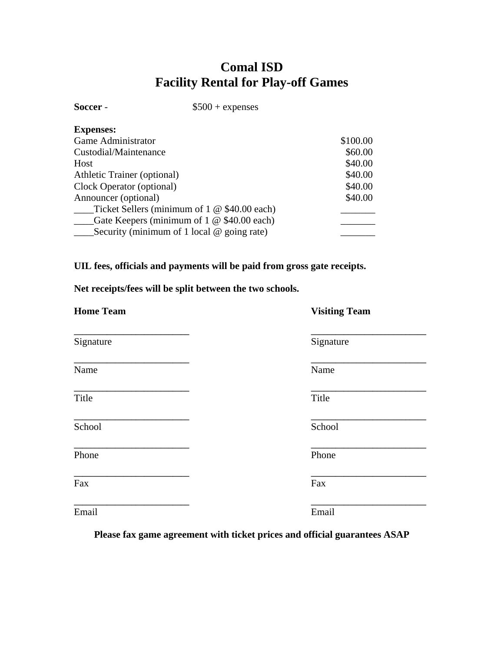| Soccer -                    | $$500 + expenses$                                   |          |
|-----------------------------|-----------------------------------------------------|----------|
| <b>Expenses:</b>            |                                                     |          |
| Game Administrator          |                                                     | \$100.00 |
| Custodial/Maintenance       |                                                     | \$60.00  |
| Host                        |                                                     | \$40.00  |
| Athletic Trainer (optional) |                                                     | \$40.00  |
| Clock Operator (optional)   |                                                     | \$40.00  |
| Announcer (optional)        |                                                     | \$40.00  |
|                             | Ticket Sellers (minimum of $1 \otimes $40.00$ each) |          |
|                             | Gate Keepers (minimum of $1 \& $40.00$ each)        |          |
|                             | Security (minimum of 1 local $\omega$ going rate)   |          |

### **UIL fees, officials and payments will be paid from gross gate receipts.**

**Net receipts/fees will be split between the two schools.** 

| <b>Home Team</b> | <b>Visiting Team</b> |
|------------------|----------------------|
| Signature        | Signature            |
| Name             | Name                 |
| Title            | Title                |
| School           | School               |
| Phone            | Phone                |
| Fax              | Fax                  |
| Email            | Email                |

**Please fax game agreement with ticket prices and official guarantees ASAP**